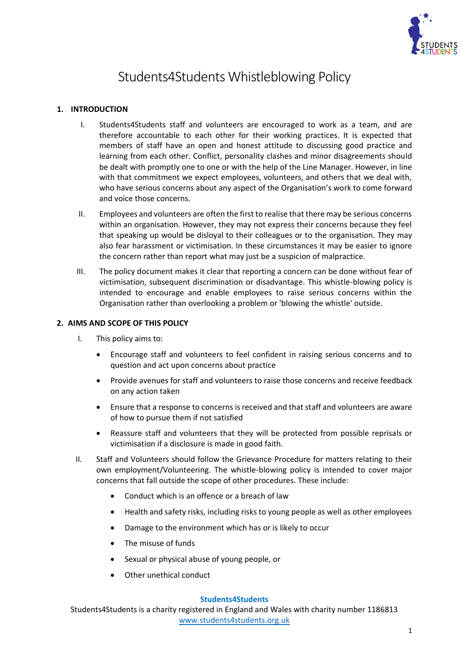

# Students4Students Whistleblowing Policy

## **1. INTRODUCTION**

- I. Students4Students staff and volunteers are encouraged to work as a team, and are therefore accountable to each other for their working practices. It is expected that members of staff have an open and honest attitude to discussing good practice and learning from each other. Conflict, personality clashes and minor disagreements should be dealt with promptly one to one or with the help of the Line Manager. However, in line with that commitment we expect employees, volunteers, and others that we deal with, who have serious concerns about any aspect of the Organisation's work to come forward and voice those concerns.
- II. Employees and volunteers are often the first to realise that there may be serious concerns within an organisation. However, they may not express their concerns because they feel that speaking up would be disloyal to their colleagues or to the organisation. They may also fear harassment or victimisation. In these circumstances it may be easier to ignore the concern rather than report what may just be a suspicion of malpractice.
- III. The policy document makes it clear that reporting a concern can be done without fear of victimisation, subsequent discrimination or disadvantage. This whistle-blowing policy is intended to encourage and enable employees to raise serious concerns within the Organisation rather than overlooking a problem or 'blowing the whistle' outside.

### **2. AIMS AND SCOPE OF THIS POLICY**

- I. This policy aims to:
	- Encourage staff and volunteers to feel confident in raising serious concerns and to question and act upon concerns about practice
	- Provide avenues for staff and volunteers to raise those concerns and receive feedback on any action taken
	- Ensure that a response to concerns is received and that staff and volunteers are aware of how to pursue them if not satisfied
	- Reassure staff and volunteers that they will be protected from possible reprisals or victimisation if a disclosure is made in good faith.
- II. Staff and Volunteers should follow the Grievance Procedure for matters relating to their own employment/Volunteering. The whistle-blowing policy is intended to cover major concerns that fall outside the scope of other procedures. These include:
	- Conduct which is an offence or a breach of law
	- Health and safety risks, including risks to young people as well as other employees
	- Damage to the environment which has or is likely to occur
	- The misuse of funds
	- Sexual or physical abuse of young people, or
	- Other unethical conduct

#### **Students4Students**

Students4Students is a charity registered in England and Wales with charity number 1186813 [www.students4students.org.uk](http://www.students4students.org.uk/)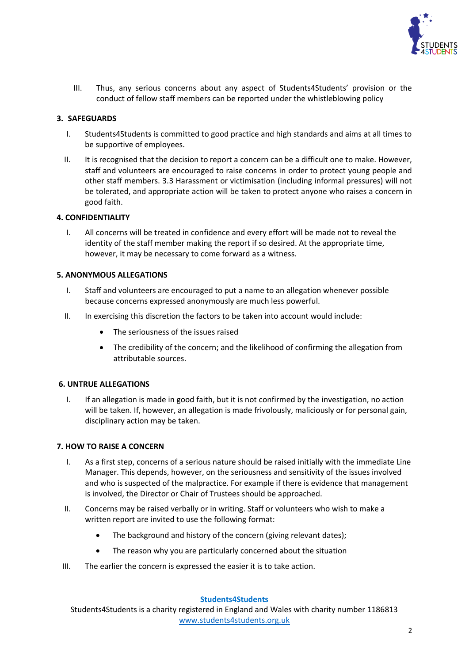

III. Thus, any serious concerns about any aspect of Students4Students' provision or the conduct of fellow staff members can be reported under the whistleblowing policy

## **3. SAFEGUARDS**

- I. Students4Students is committed to good practice and high standards and aims at all times to be supportive of employees.
- II. It is recognised that the decision to report a concern can be a difficult one to make. However, staff and volunteers are encouraged to raise concerns in order to protect young people and other staff members. 3.3 Harassment or victimisation (including informal pressures) will not be tolerated, and appropriate action will be taken to protect anyone who raises a concern in good faith.

### **4. CONFIDENTIALITY**

I. All concerns will be treated in confidence and every effort will be made not to reveal the identity of the staff member making the report if so desired. At the appropriate time, however, it may be necessary to come forward as a witness.

### **5. ANONYMOUS ALLEGATIONS**

- I. Staff and volunteers are encouraged to put a name to an allegation whenever possible because concerns expressed anonymously are much less powerful.
- II. In exercising this discretion the factors to be taken into account would include:
	- The seriousness of the issues raised
	- The credibility of the concern; and the likelihood of confirming the allegation from attributable sources.

## **6. UNTRUE ALLEGATIONS**

I. If an allegation is made in good faith, but it is not confirmed by the investigation, no action will be taken. If, however, an allegation is made frivolously, maliciously or for personal gain, disciplinary action may be taken.

## **7. HOW TO RAISE A CONCERN**

- I. As a first step, concerns of a serious nature should be raised initially with the immediate Line Manager. This depends, however, on the seriousness and sensitivity of the issues involved and who is suspected of the malpractice. For example if there is evidence that management is involved, the Director or Chair of Trustees should be approached.
- II. Concerns may be raised verbally or in writing. Staff or volunteers who wish to make a written report are invited to use the following format:
	- The background and history of the concern (giving relevant dates);
	- The reason why you are particularly concerned about the situation
- III. The earlier the concern is expressed the easier it is to take action.

### **Students4Students**

Students4Students is a charity registered in England and Wales with charity number 1186813 [www.students4students.org.uk](http://www.students4students.org.uk/)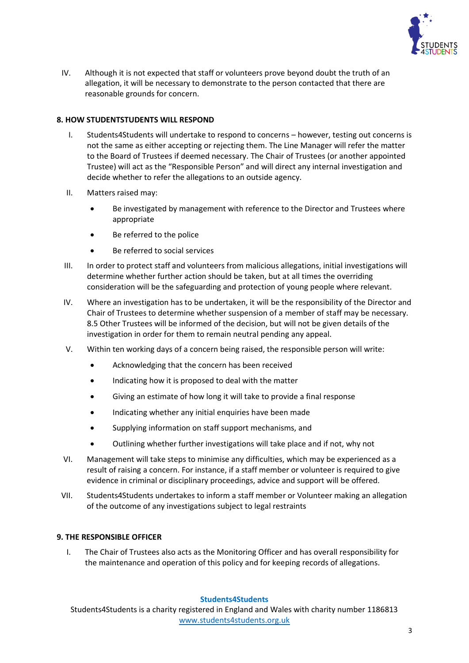

IV. Although it is not expected that staff or volunteers prove beyond doubt the truth of an allegation, it will be necessary to demonstrate to the person contacted that there are reasonable grounds for concern.

## **8. HOW STUDENTSTUDENTS WILL RESPOND**

- I. Students4Students will undertake to respond to concerns however, testing out concerns is not the same as either accepting or rejecting them. The Line Manager will refer the matter to the Board of Trustees if deemed necessary. The Chair of Trustees (or another appointed Trustee) will act as the "Responsible Person" and will direct any internal investigation and decide whether to refer the allegations to an outside agency.
- II. Matters raised may:
	- Be investigated by management with reference to the Director and Trustees where appropriate
	- Be referred to the police
	- Be referred to social services
- III. In order to protect staff and volunteers from malicious allegations, initial investigations will determine whether further action should be taken, but at all times the overriding consideration will be the safeguarding and protection of young people where relevant.
- IV. Where an investigation has to be undertaken, it will be the responsibility of the Director and Chair of Trustees to determine whether suspension of a member of staff may be necessary. 8.5 Other Trustees will be informed of the decision, but will not be given details of the investigation in order for them to remain neutral pending any appeal.
- V. Within ten working days of a concern being raised, the responsible person will write:
	- Acknowledging that the concern has been received
	- Indicating how it is proposed to deal with the matter
	- Giving an estimate of how long it will take to provide a final response
	- Indicating whether any initial enquiries have been made
	- Supplying information on staff support mechanisms, and
	- Outlining whether further investigations will take place and if not, why not
- VI. Management will take steps to minimise any difficulties, which may be experienced as a result of raising a concern. For instance, if a staff member or volunteer is required to give evidence in criminal or disciplinary proceedings, advice and support will be offered.
- VII. Students4Students undertakes to inform a staff member or Volunteer making an allegation of the outcome of any investigations subject to legal restraints

### **9. THE RESPONSIBLE OFFICER**

I. The Chair of Trustees also acts as the Monitoring Officer and has overall responsibility for the maintenance and operation of this policy and for keeping records of allegations.

### **Students4Students**

Students4Students is a charity registered in England and Wales with charity number 1186813 [www.students4students.org.uk](http://www.students4students.org.uk/)